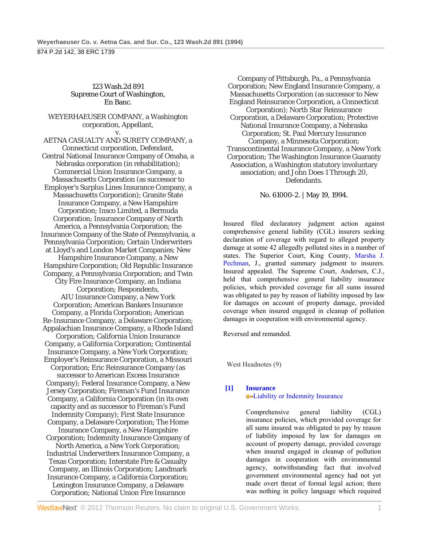### 123 Wash.2d 891 Supreme Court of Washington, En Banc.

#### WEYERHAEUSER COMPANY, a Washington corporation, Appellant, v.

AETNA CASUALTY AND SURETY COMPANY, a Connecticut corporation, Defendant, Central National Insurance Company of Omaha, a Nebraska corporation (in rehabilitation); Commercial Union Insurance Company, a Massachusetts Corporation (as successor to Employer's Surplus Lines Insurance Company, a Massachusetts Corporation); Granite State Insurance Company, a New Hampshire Corporation; Insco Limited, a Bermuda Corporation; Insurance Company of North America, a Pennsylvania Corporation; the Insurance Company of the State of Pennsylvania, a Pennsylvania Corporation; Certain Underwriters at Lloyd's and London Market Companies; New Hampshire Insurance Company, a New Hampshire Corporation; Old Republic Insurance Company, a Pennsylvania Corporation; and Twin City Fire Insurance Company, an Indiana Corporation; Respondents, AIU Insurance Company, a New York Corporation; American Bankers Insurance Company, a Florida Corporation; American Re-Insurance Company, a Delaware Corporation; Appalachian Insurance Company, a Rhode Island Corporation; California Union Insurance Company, a California Corporation; Continental Insurance Company, a New York Corporation; Employer's Reinsurance Corporation, a Missouri Corporation; Eric Reinsurance Company (as successor to American Excess Insurance Company); Federal Insurance Company, a New Jersey Corporation; Fireman's Fund Insurance Company, a California Corporation (in its own capacity and as successor to Fireman's Fund Indemnity Company); First State Insurance Company, a Delaware Corporation; The Home Insurance Company, a New Hampshire Corporation; Indemnity Insurance Company of North America, a New York Corporation; Industrial Underwriters Insurance Company, a Texas Corporation; Interstate Fire & Casualty Company, an Illinois Corporation; Landmark Insurance Company, a California Corporation; Lexington Insurance Company, a Delaware Corporation; National Union Fire Insurance

Company of Pittsburgh, Pa., a Pennsylvania Corporation; New England Insurance Company, a Massachusetts Corporation (as successor to New England Reinsurance Corporation, a Connecticut Corporation); North Star Reinsurance Corporation, a Delaware Corporation; Protective National Insurance Company, a Nebraska Corporation; St. Paul Mercury Insurance Company, a Minnesota Corporation; Transcontinental Insurance Company, a New York Corporation; The Washington Insurance Guaranty Association, a Washington statutory involuntary association; and John Does 1 Through 20, Defendants.

No. 61000-2. | May 19, 1994.

Insured filed declaratory judgment action against comprehensive general liability (CGL) insurers seeking declaration of coverage with regard to alleged property damage at some 42 allegedly polluted sites in a number of states. The Superior Court, King County, Marsha J. Pechman, J., granted summary judgment to insurers. Insured appealed. The Supreme Court, Andersen, C.J., held that comprehensive general liability insurance policies, which provided coverage for all sums insured was obligated to pay by reason of liability imposed by law for damages on account of property damage, provided coverage when insured engaged in cleanup of pollution damages in cooperation with environmental agency.

Reversed and remanded.

West Headnotes (9)

# **[1] Insurance** Liability or Indemnity Insurance

 Comprehensive general liability (CGL) insurance policies, which provided coverage for all sums insured was obligated to pay by reason of liability imposed by law for damages on account of property damage, provided coverage when insured engaged in cleanup of pollution damages in cooperation with environmental agency, notwithstanding fact that involved government environmental agency had not yet made overt threat of formal legal action; there was nothing in policy language which required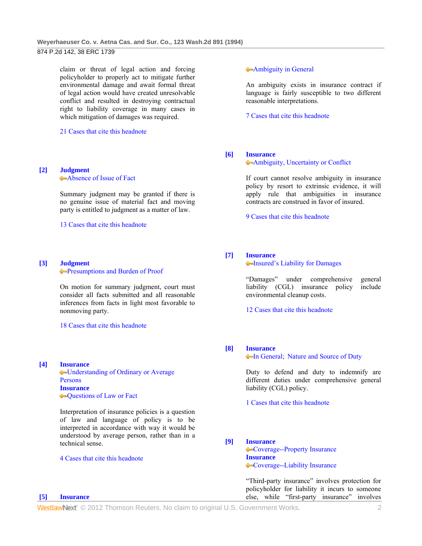claim or threat of legal action and forcing policyholder to properly act to mitigate further environmental damage and await formal threat of legal action would have created unresolvable conflict and resulted in destroying contractual right to liability coverage in many cases in which mitigation of damages was required.

21 Cases that cite this headnote

# **[2] Judgment**

Absence of Issue of Fact

 Summary judgment may be granted if there is no genuine issue of material fact and moving party is entitled to judgment as a matter of law.

13 Cases that cite this headnote

#### **[3] Judgment**

Presumptions and Burden of Proof

 On motion for summary judgment, court must consider all facts submitted and all reasonable inferences from facts in light most favorable to nonmoving party.

#### 18 Cases that cite this headnote

**[4] Insurance**

**[5] Insurance**

Understanding of Ordinary or Average Persons **Insurance** Questions of Law or Fact

 Interpretation of insurance policies is a question of law and language of policy is to be interpreted in accordance with way it would be understood by average person, rather than in a technical sense.

#### 4 Cases that cite this headnote

#### Ambiguity in General

 An ambiguity exists in insurance contract if language is fairly susceptible to two different reasonable interpretations.

7 Cases that cite this headnote

#### **[6] Insurance**

Ambiguity, Uncertainty or Conflict

 If court cannot resolve ambiguity in insurance policy by resort to extrinsic evidence, it will apply rule that ambiguities in insurance contracts are construed in favor of insured.

9 Cases that cite this headnote

### **[7] Insurance**

Insured's Liability for Damages

 "Damages" under comprehensive general liability (CGL) insurance policy include environmental cleanup costs.

12 Cases that cite this headnote

#### **[8] Insurance**

**In General; Nature and Source of Duty** 

 Duty to defend and duty to indemnify are different duties under comprehensive general liability (CGL) policy.

1 Cases that cite this headnote

#### **[9] Insurance**

Coverage--Property Insurance **Insurance** Coverage--Liability Insurance

 "Third-party insurance" involves protection for policyholder for liability it incurs to someone else, while "first-party insurance" involves

WestlawNext" © 2012 Thomson Reuters. No claim to original U.S. Government Works. 2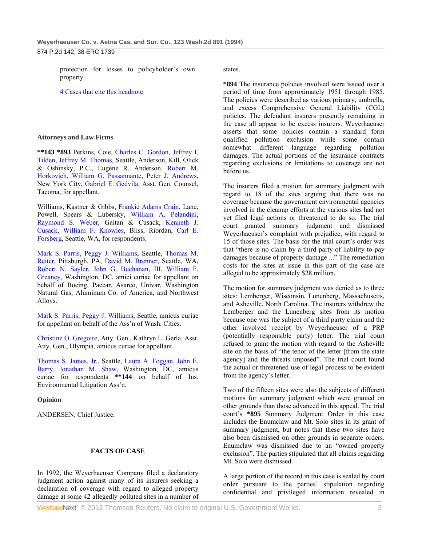protection for losses to policyholder's own property.

4 Cases that cite this headnote

### **Attorneys and Law Firms**

**\*\*143 \*893** Perkins, Coie, Charles C. Gordon, Jeffrey I. Tilden, Jeffrey M. Thomas, Seattle, Anderson, Kill, Olick & Oshinsky, P.C., Eugene R. Anderson, Robert M. Horkovich, William G. Passannante, Peter J. Andrews, New York City, Gabriel E. Gedvila, Asst. Gen. Counsel, Tacoma, for appellant.

Williams, Kastner & Gibbs, Frankie Adams Crain, Lane, Powell, Spears & Lubersky, William A. Pelandini, Raymond S. Weber, Gaitan & Cusack, Kenneth J. Cusack, William F. Knowles, Bliss, Riordan, Carl E. Forsberg, Seattle, WA, for respondents.

Mark S. Parris, Peggy J. Williams, Seattle, Thomas M. Reiter, Pittsburgh, PA, David M. Brenner, Seattle, WA, Robert N. Sayler, John G. Buchanan, III, William F. Greaney, Washington, DC, amici curiae for appellant on behalf of Boeing, Paccar, Asarco, Univar, Washington Natural Gas, Aluminum Co. of America, and Northwest Alloys.

Mark S. Parris, Peggy J. Williams, Seattle, amicus curiae for appellant on behalf of the Ass'n of Wash. Cities.

Christine O. Gregoire, Atty. Gen., Kathryn L. Gerla, Asst. Atty. Gen., Olympia, amicus curiae for appellant.

Thomas S. James, Jr., Seattle, Laura A. Foggan, John E. Barry, Jonathan M. Shaw, Washington, DC, amicus curiae for respondents **\*\*144** on behalf of Ins. Environmental Litigation Ass'n.

### **Opinion**

ANDERSEN, Chief Justice.

### **FACTS OF CASE**

In 1992, the Weyerhaeuser Company filed a declaratory judgment action against many of its insurers seeking a declaration of coverage with regard to alleged property damage at some 42 allegedly polluted sites in a number of states.

**\*894** The insurance policies involved were issued over a period of time from approximately 1951 through 1985. The policies were described as various primary, umbrella, and excess Comprehensive General Liability (CGL) policies. The defendant insurers presently remaining in the case all appear to be excess insurers. Weyerhaeuser asserts that some policies contain a standard form qualified pollution exclusion while some contain somewhat different language regarding pollution damages. The actual portions of the insurance contracts regarding exclusions or limitations to coverage are not before us.

The insurers filed a motion for summary judgment with regard to 18 of the sites arguing that there was no coverage because the government environmental agencies involved in the cleanup efforts at the various sites had not yet filed legal actions or threatened to do so. The trial court granted summary judgment and dismissed Weyerhaeuser's complaint with prejudice, with regard to 15 of those sites. The basis for the trial court's order was that "there is no claim by a third party of liability to pay damages because of property damage ..." The remediation costs for the sites at issue in this part of the case are alleged to be approximately \$28 million.

The motion for summary judgment was denied as to three sites: Lemberger, Wisconsin, Lunenberg, Massachusetts, and Asheville, North Carolina. The insurers withdrew the Lemberger and the Lunenberg sites from its motion because one was the subject of a third party claim and the other involved receipt by Weyerhaeuser of a PRP (potentially responsible party) letter. The trial court refused to grant the motion with regard to the Asheville site on the basis of "the tenor of the letter [from the state agency] and the threats imposed". The trial court found the actual or threatened use of legal process to be evident from the agency's letter.

Two of the fifteen sites were also the subjects of different motions for summary judgment which were granted on other grounds than those advanced in this appeal. The trial court's **\*895** Summary Judgment Order in this case includes the Enumclaw and Mt. Solo sites in its grant of summary judgment, but notes that these two sites have also been dismissed on other grounds in separate orders. Enumclaw was dismissed due to an "owned property exclusion". The parties stipulated that all claims regarding Mt. Solo were dismissed.

A large portion of the record in this case is sealed by court order pursuant to the parties' stipulation regarding confidential and privileged information revealed in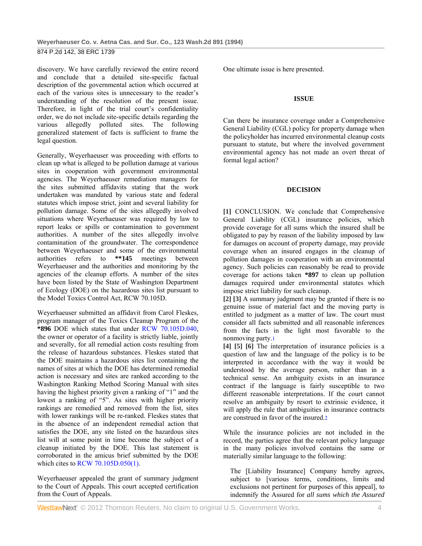discovery. We have carefully reviewed the entire record and conclude that a detailed site-specific factual description of the governmental action which occurred at each of the various sites is unnecessary to the reader's understanding of the resolution of the present issue. Therefore, in light of the trial court's confidentiality order, we do not include site-specific details regarding the various allegedly polluted sites. The following generalized statement of facts is sufficient to frame the legal question.

Generally, Weyerhaeuser was proceeding with efforts to clean up what is alleged to be pollution damage at various sites in cooperation with government environmental agencies. The Weyerhaeuser remediation managers for the sites submitted affidavits stating that the work undertaken was mandated by various state and federal statutes which impose strict, joint and several liability for pollution damage. Some of the sites allegedly involved situations where Weyerhaeuser was required by law to report leaks or spills or contamination to government authorities. A number of the sites allegedly involve contamination of the groundwater. The correspondence between Weyerhaeuser and some of the environmental authorities refers to **\*\*145** meetings between Weyerhaeuser and the authorities and monitoring by the agencies of the cleanup efforts. A number of the sites have been listed by the State of Washington Department of Ecology (DOE) on the hazardous sites list pursuant to the Model Toxics Control Act, RCW 70.105D.

Weyerhaeuser submitted an affidavit from Carol Fleskes, program manager of the Toxics Cleanup Program of the **\*896** DOE which states that under RCW 70.105D.040, the owner or operator of a facility is strictly liable, jointly and severally, for all remedial action costs resulting from the release of hazardous substances. Fleskes stated that the DOE maintains a hazardous sites list containing the names of sites at which the DOE has determined remedial action is necessary and sites are ranked according to the Washington Ranking Method Scoring Manual with sites having the highest priority given a ranking of "1" and the lowest a ranking of "5". As sites with higher priority rankings are remedied and removed from the list, sites with lower rankings will be re-ranked. Fleskes states that in the absence of an independent remedial action that satisfies the DOE, any site listed on the hazardous sites list will at some point in time become the subject of a cleanup initiated by the DOE. This last statement is corroborated in the amicus brief submitted by the DOE which cites to RCW 70.105D.050(1).

Weyerhaeuser appealed the grant of summary judgment to the Court of Appeals. This court accepted certification from the Court of Appeals.

One ultimate issue is here presented.

#### **ISSUE**

Can there be insurance coverage under a Comprehensive General Liability (CGL) policy for property damage when the policyholder has incurred environmental cleanup costs pursuant to statute, but where the involved government environmental agency has not made an overt threat of formal legal action?

### **DECISION**

**[1]** CONCLUSION. We conclude that Comprehensive General Liability (CGL) insurance policies, which provide coverage for all sums which the insured shall be obligated to pay by reason of the liability imposed by law for damages on account of property damage, may provide coverage when an insured engages in the cleanup of pollution damages in cooperation with an environmental agency. Such policies can reasonably be read to provide coverage for actions taken **\*897** to clean up pollution damages required under environmental statutes which impose strict liability for such cleanup.

**[2] [3]** A summary judgment may be granted if there is no genuine issue of material fact and the moving party is entitled to judgment as a matter of law. The court must consider all facts submitted and all reasonable inferences from the facts in the light most favorable to the nonmoving party.1

**[4] [5] [6]** The interpretation of insurance policies is a question of law and the language of the policy is to be interpreted in accordance with the way it would be understood by the average person, rather than in a technical sense. An ambiguity exists in an insurance contract if the language is fairly susceptible to two different reasonable interpretations. If the court cannot resolve an ambiguity by resort to extrinsic evidence, it will apply the rule that ambiguities in insurance contracts are construed in favor of the insured.

While the insurance policies are not included in the record, the parties agree that the relevant policy language in the many policies involved contains the same or materially similar language to the following:

The [Liability Insurance] Company hereby agrees, subject to [various terms, conditions, limits and exclusions not pertinent for purposes of this appeal], to indemnify the Assured for *all sums which the Assured*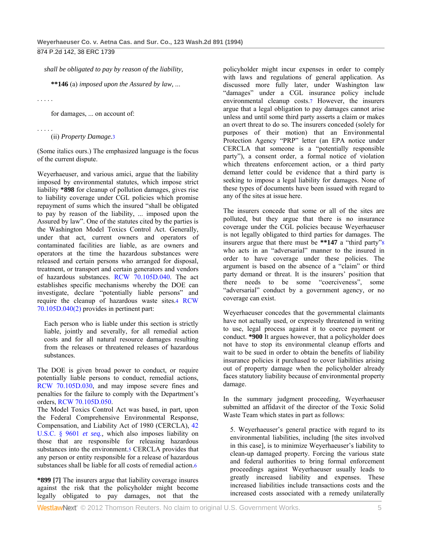*shall be obligated to pay by reason of the liability,* 

**\*\*146** (a) *imposed upon the Assured by law,* ...

. . . . .

for damages, ... on account of:

#### . . . . . (ii) *Property Damage.*3

(Some italics ours.) The emphasized language is the focus of the current dispute.

Weyerhaeuser, and various amici, argue that the liability imposed by environmental statutes, which impose strict liability **\*898** for cleanup of pollution damages, gives rise to liability coverage under CGL policies which promise repayment of sums which the insured "shall be obligated to pay by reason of the liability, ... imposed upon the Assured by law". One of the statutes cited by the parties is the Washington Model Toxics Control Act. Generally, under that act, current owners and operators of contaminated facilities are liable, as are owners and operators at the time the hazardous substances were released and certain persons who arranged for disposal, treatment, or transport and certain generators and vendors of hazardous substances. RCW 70.105D.040. The act establishes specific mechanisms whereby the DOE can investigate, declare "potentially liable persons" and require the cleanup of hazardous waste sites.4 RCW 70.105D.040(2) provides in pertinent part:

Each person who is liable under this section is strictly liable, jointly and severally, for all remedial action costs and for all natural resource damages resulting from the releases or threatened releases of hazardous substances.

The DOE is given broad power to conduct, or require potentially liable persons to conduct, remedial actions, RCW 70.105D.030, and may impose severe fines and penalties for the failure to comply with the Department's orders, RCW 70.105D.050.

The Model Toxics Control Act was based, in part, upon the Federal Comprehensive Environmental Response, Compensation, and Liability Act of 1980 (CERCLA), 42 U.S.C. § 9601 *et seq.,* which also imposes liability on those that are responsible for releasing hazardous substances into the environment.5 CERCLA provides that any person or entity responsible for a release of hazardous substances shall be liable for all costs of remedial action.6

**\*899 [7]** The insurers argue that liability coverage insures against the risk that the policyholder might become legally obligated to pay damages, not that the policyholder might incur expenses in order to comply with laws and regulations of general application. As discussed more fully later, under Washington law "damages" under a CGL insurance policy include environmental cleanup costs.7 However, the insurers argue that a legal obligation to pay damages cannot arise unless and until some third party asserts a claim or makes an overt threat to do so. The insurers conceded (solely for purposes of their motion) that an Environmental Protection Agency "PRP" letter (an EPA notice under CERCLA that someone is a "potentially responsible party"), a consent order, a formal notice of violation which threatens enforcement action, or a third party demand letter could be evidence that a third party is seeking to impose a legal liability for damages. None of these types of documents have been issued with regard to any of the sites at issue here.

The insurers concede that some or all of the sites are polluted, but they argue that there is no insurance coverage under the CGL policies because Weyerhaeuser is not legally obligated to third parties for damages. The insurers argue that there must be **\*\*147** a "third party"8 who acts in an "adversarial" manner to the insured in order to have coverage under these policies. The argument is based on the absence of a "claim" or third party demand or threat. It is the insurers' position that there needs to be some "coerciveness", some "adversarial" conduct by a government agency, or no coverage can exist.

Weyerhaeuser concedes that the governmental claimants have not actually used, or expressly threatened in writing to use, legal process against it to coerce payment or conduct. **\*900** It argues however, that a policyholder does not have to stop its environmental cleanup efforts and wait to be sued in order to obtain the benefits of liability insurance policies it purchased to cover liabilities arising out of property damage when the policyholder already faces statutory liability because of environmental property damage.

In the summary judgment proceeding, Weyerhaeuser submitted an affidavit of the director of the Toxic Solid Waste Team which states in part as follows:

5. Weyerhaeuser's general practice with regard to its environmental liabilities, including [the sites involved in this case], is to minimize Weyerhaeuser's liability to clean-up damaged property. Forcing the various state and federal authorities to bring formal enforcement proceedings against Weyerhaeuser usually leads to greatly increased liability and expenses. These increased liabilities include transactions costs and the increased costs associated with a remedy unilaterally

**WestlawNext** © 2012 Thomson Reuters. No claim to original U.S. Government Works. 5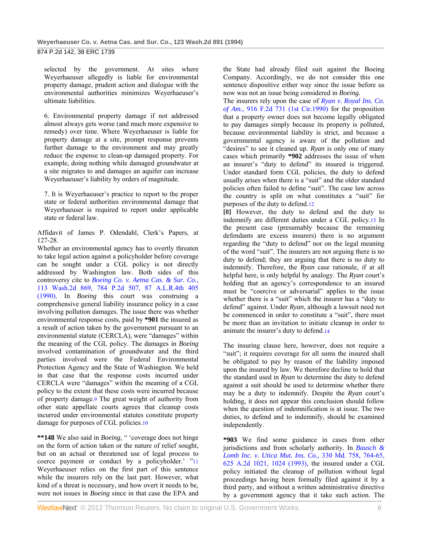selected by the government. At sites where Weyerhaeuser allegedly is liable for environmental property damage, prudent action and dialogue with the environmental authorities minimizes Weyerhaeuser's ultimate liabilities.

6. Environmental property damage if not addressed almost always gets worse (and much more expensive to remedy) over time. Where Weyerhaeuser is liable for property damage at a site, prompt response prevents further damage to the environment and may greatly reduce the expense to clean-up damaged property. For example, doing nothing while damaged groundwater at a site migrates to and damages an aquifer can increase Weyerhaeuser's liability by orders of magnitude.

7. It is Weyerhaeuser's practice to report to the proper state or federal authorities environmental damage that Weyerhaeuser is required to report under applicable state or federal law.

Affidavit of James P. Odendahl, Clerk's Papers, at 127-28.

Whether an environmental agency has to overtly threaten to take legal action against a policyholder before coverage can be sought under a CGL policy is not directly addressed by Washington law. Both sides of this controversy cite to *Boeing Co. v. Aetna Cas. & Sur. Co.,* 113 Wash.2d 869, 784 P.2d 507, 87 A.L.R.4th 405 (1990). In *Boeing* this court was construing a comprehensive general liability insurance policy in a case involving pollution damages. The issue there was whether environmental response costs, paid by **\*901** the insured as a result of action taken by the government pursuant to an environmental statute (CERCLA), were "damages" within the meaning of the CGL policy. The damages in *Boeing* involved contamination of groundwater and the third parties involved were the Federal Environmental Protection Agency and the State of Washington. We held in that case that the response costs incurred under CERCLA were "damages" within the meaning of a CGL policy to the extent that these costs were incurred because of property damage.9 The great weight of authority from other state appellate courts agrees that cleanup costs incurred under environmental statutes constitute property damage for purposes of CGL policies.10

**\*\*148** We also said in *Boeing,* " 'coverage does not hinge on the form of action taken or the nature of relief sought, but on an actual or threatened use of legal process to coerce payment or conduct by a policyholder.' "11 Weyerhaeuser relies on the first part of this sentence while the insurers rely on the last part. However, what kind of a threat is necessary, and how overt it needs to be, were not issues in *Boeing* since in that case the EPA and

the State had already filed suit against the Boeing Company. Accordingly, we do not consider this one sentence dispositive either way since the issue before us now was not an issue being considered in *Boeing.* 

The insurers rely upon the case of *Ryan v. Royal Ins. Co. of Am.,* 916 F.2d 731 (1st Cir.1990) for the proposition that a property owner does not become legally obligated to pay damages simply because its property is polluted, because environmental liability is strict, and because a governmental agency is aware of the pollution and "desires" to see it cleaned up. *Ryan* is only one of many cases which primarily **\*902** addresses the issue of when an insurer's "duty to defend" its insured is triggered. Under standard form CGL policies, the duty to defend usually arises when there is a "suit" and the older standard policies often failed to define "suit". The case law across the country is split on what constitutes a "suit" for purposes of the duty to defend.12

**[8]** However, the duty to defend and the duty to indemnify are different duties under a CGL policy.13 In the present case (presumably because the remaining defendants are excess insurers) there is no argument regarding the "duty to defend" nor on the legal meaning of the word "suit". The insurers are not arguing there is no duty to defend; they are arguing that there is no duty to indemnify. Therefore, the *Ryan* case rationale, if at all helpful here, is only helpful by analogy. The *Ryan* court's holding that an agency's correspondence to an insured must be "coercive or adversarial" applies to the issue whether there is a "suit" which the insurer has a "duty to defend" against. Under *Ryan,* although a lawsuit need not be commenced in order to constitute a "suit", there must be more than an invitation to initiate cleanup in order to animate the insurer's duty to defend.14

The insuring clause here, however, does not require a "suit"; it requires coverage for all sums the insured shall be obligated to pay by reason of the liability imposed upon the insured by law. We therefore decline to hold that the standard used in *Ryan* to determine the duty to defend against a suit should be used to determine whether there may be a duty to indemnify. Despite the *Ryan* court's holding, it does not appear this conclusion should follow when the question of indemnification is at issue. The two duties, to defend and to indemnify, should be examined independently.

**\*903** We find some guidance in cases from other jurisdictions and from scholarly authority. In *Bausch & Lomb Inc. v. Utica Mut. Ins. Co.,* 330 Md. 758, 764-65, 625 A.2d 1021, 1024 (1993), the insured under a CGL policy initiated the cleanup of pollution without legal proceedings having been formally filed against it by a third party, and without a written administrative directive by a government agency that it take such action. The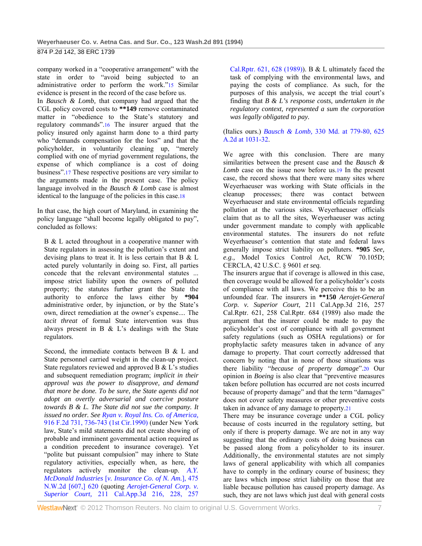company worked in a "cooperative arrangement" with the state in order to "avoid being subjected to an administrative order to perform the work."15 Similar evidence is present in the record of the case before us.

In *Bausch & Lomb,* that company had argued that the CGL policy covered costs to **\*\*149** remove contaminated matter in "obedience to the State's statutory and regulatory commands".16 The insurer argued that the policy insured only against harm done to a third party who "demands compensation for the loss" and that the policyholder, in voluntarily cleaning up, "merely complied with one of myriad government regulations, the expense of which compliance is a cost of doing business".17 These respective positions are very similar to the arguments made in the present case. The policy language involved in the *Bausch & Lomb* case is almost identical to the language of the policies in this case.18

In that case, the high court of Maryland, in examining the policy language "shall become legally obligated to pay", concluded as follows:

B & L acted throughout in a cooperative manner with State regulators in assessing the pollution's extent and devising plans to treat it. It is less certain that B & L acted purely voluntarily in doing so. First, all parties concede that the relevant environmental statutes ... impose strict liability upon the owners of polluted property; the statutes further grant the State the authority to enforce the laws either by **\*904** administrative order, by injunction, or by the State's own, direct remediation at the owner's expense.... The *tacit threat* of formal State intervention was thus always present in B & L's dealings with the State regulators.

Second, the immediate contacts between B & L and State personnel carried weight in the clean-up project. State regulators reviewed and approved B & L's studies and subsequent remediation program; *implicit in their approval was the power to disapprove, and demand that more be done. To be sure, the State agents did not adopt an overtly adversarial and coercive posture towards B & L. The State did not sue the company. It issued no order. See Ryan v. Royal Ins. Co. of America,* 916 F.2d 731, 736-743 (1st Cir.1990) (under New York law, State's mild statements did not create showing of probable and imminent governmental action required as a condition precedent to insurance coverage). Yet "polite but puissant compulsion" may inhere to State regulatory activities, especially when, as here, the regulators actively monitor the clean-up. *A.Y. McDonald Industries* [*v. Insurance Co. of N. Am.*], 475 N.W.2d [607,] 620 (quoting *Aerojet-General Corp. v. Superior Court,* 211 Cal.App.3d 216, 228, 257

Cal.Rptr. 621, 628 (1989)). B & L ultimately faced the task of complying with the environmental laws, and paying the costs of compliance. As such, for the purposes of this analysis, we accept the trial court's finding that *B & L's response costs, undertaken in the regulatory context, represented a sum the corporation was legally obligated to pay.* 

### (Italics ours.) *Bausch & Lomb,* 330 Md. at 779-80, 625 A.2d at 1031-32.

We agree with this conclusion. There are many similarities between the present case and the *Bausch & Lomb* case on the issue now before us.19 In the present case, the record shows that there were many sites where Weyerhaeuser was working with State officials in the cleanup processes; there was contact between Weyerhaeuser and state environmental officials regarding pollution at the various sites. Weyerhaeuser officials claim that as to all the sites, Weyerhaeuser was acting under government mandate to comply with applicable environmental statutes. The insurers do not refute Weyerhaeuser's contention that state and federal laws generally impose strict liability on polluters. **\*905** *See, e.g.,* Model Toxics Control Act, RCW 70.105D; CERCLA, 42 U.S.C. § 9601 *et seq.* 

The insurers argue that if coverage is allowed in this case, then coverage would be allowed for a policyholder's costs of compliance with all laws. We perceive this to be an unfounded fear. The insurers in **\*\*150** *Aerojet-General Corp. v. Superior Court,* 211 Cal.App.3d 216, 257 Cal.Rptr. 621, 258 Cal.Rptr. 684 (1989) also made the argument that the insurer could be made to pay the policyholder's cost of compliance with all government safety regulations (such as OSHA regulations) or for prophylactic safety measures taken in advance of any damage to property. That court correctly addressed that concern by noting that in none of those situations was there liability "*because of property damage*".20 Our opinion in *Boeing* is also clear that "preventive measures taken before pollution has occurred are not costs incurred because of property damage" and that the term "damages" does not cover safety measures or other preventive costs taken in advance of any damage to property.21

There may be insurance coverage under a CGL policy because of costs incurred in the regulatory setting, but only if there is property damage. We are not in any way suggesting that the ordinary costs of doing business can be passed along from a policyholder to its insurer. Additionally, the environmental statutes are not simply laws of general applicability with which all companies have to comply in the ordinary course of business; they are laws which impose strict liability on those that are liable because pollution has caused property damage. As such, they are not laws which just deal with general costs

WestlawNext<sup>®</sup> © 2012 Thomson Reuters. No claim to original U.S. Government Works. 7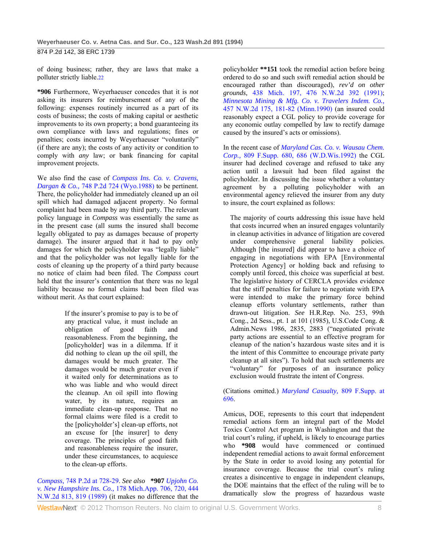of doing business; rather, they are laws that make a polluter strictly liable.22

**\*906** Furthermore, Weyerhaeuser concedes that it is *not* asking its insurers for reimbursement of any of the following: expenses routinely incurred as a part of its costs of business; the costs of making capital or aesthetic improvements to its own property; a bond guaranteeing its own compliance with laws and regulations; fines or penalties; costs incurred by Weyerhaeuser "voluntarily" (if there are any); the costs of any activity or condition to comply with *any* law; or bank financing for capital improvement projects.

We also find the case of *Compass Ins. Co. v. Cravens, Dargan & Co.,* 748 P.2d 724 (Wyo.1988) to be pertinent. There, the policyholder had immediately cleaned up an oil spill which had damaged adjacent property. No formal complaint had been made by any third party. The relevant policy language in *Compass* was essentially the same as in the present case (all sums the insured shall become legally obligated to pay as damages because of property damage). The insurer argued that it had to pay only damages for which the policyholder was "legally liable" and that the policyholder was not legally liable for the costs of cleaning up the property of a third party because no notice of claim had been filed. The *Compass* court held that the insurer's contention that there was no legal liability because no formal claims had been filed was without merit. As that court explained:

> If the insurer's promise to pay is to be of any practical value, it must include an obligation of good faith and reasonableness. From the beginning, the [policyholder] was in a dilemma. If it did nothing to clean up the oil spill, the damages would be much greater. The damages would be much greater even if it waited only for determinations as to who was liable and who would direct the cleanup. An oil spill into flowing water, by its nature, requires an immediate clean-up response. That no formal claims were filed is a credit to the [policyholder's] clean-up efforts, not an excuse for [the insurer] to deny coverage. The principles of good faith and reasonableness require the insurer, under these circumstances, to acquiesce to the clean-up efforts.

*Compass,* 748 P.2d at 728-29. *See also* **\*907** *Upjohn Co. v. New Hampshire Ins. Co.,* 178 Mich.App. 706, 720, 444 N.W.2d 813, 819 (1989) (it makes no difference that the

policyholder **\*\*151** took the remedial action before being ordered to do so and such swift remedial action should be encouraged rather than discouraged), *rev'd on other grounds,* 438 Mich. 197, 476 N.W.2d 392 (1991); *Minnesota Mining & Mfg. Co. v. Travelers Indem. Co.,* 457 N.W.2d 175, 181-82 (Minn.1990) (an insured could reasonably expect a CGL policy to provide coverage for any economic outlay compelled by law to rectify damage caused by the insured's acts or omissions).

In the recent case of *Maryland Cas. Co. v. Wausau Chem. Corp.,* 809 F.Supp. 680, 686 (W.D.Wis.1992) the CGL insurer had declined coverage and refused to take any action until a lawsuit had been filed against the policyholder. In discussing the issue whether a voluntary agreement by a polluting policyholder with an environmental agency relieved the insurer from any duty to insure, the court explained as follows:

The majority of courts addressing this issue have held that costs incurred when an insured engages voluntarily in cleanup activities in advance of litigation are covered under comprehensive general liability policies. Although [the insured] did appear to have a choice of engaging in negotiations with EPA [Environmental Protection Agency] or holding back and refusing to comply until forced, this choice was superficial at best. The legislative history of CERCLA provides evidence that the stiff penalties for failure to negotiate with EPA were intended to make the primary force behind cleanup efforts voluntary settlements, rather than drawn-out litigation. *See* H.R.Rep. No. 253, 99th Cong., 2d Sess., pt. 1 at 101 (1985), U.S.Code Cong. & Admin.News 1986, 2835, 2883 ("negotiated private party actions are essential to an effective program for cleanup of the nation's hazardous waste sites and it is the intent of this Committee to encourage private party cleanup at all sites"). To hold that such settlements are "voluntary" for purposes of an insurance policy exclusion would frustrate the intent of Congress.

(Citations omitted.) *Maryland Casualty,* 809 F.Supp. at 696.

Amicus, DOE, represents to this court that independent remedial actions form an integral part of the Model Toxics Control Act program in Washington and that the trial court's ruling, if upheld, is likely to encourage parties who **\*908** would have commenced or continued independent remedial actions to await formal enforcement by the State in order to avoid losing any potential for insurance coverage. Because the trial court's ruling creates a disincentive to engage in independent cleanups, the DOE maintains that the effect of the ruling will be to dramatically slow the progress of hazardous waste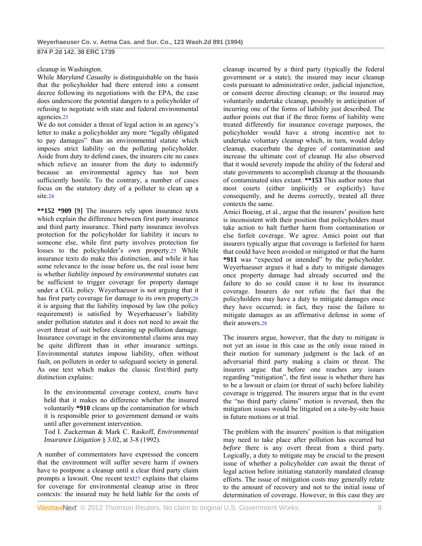### cleanup in Washington.

While *Maryland Casualty* is distinguishable on the basis that the policyholder had there entered into a consent decree following its negotiations with the EPA, the case does underscore the potential dangers to a policyholder of refusing to negotiate with state and federal environmental agencies.23

We do not consider a threat of legal action in an agency's letter to make a policyholder any more "legally obligated to pay damages" than an environmental statute which imposes strict liability on the polluting policyholder. Aside from duty to defend cases, the insurers cite no cases which relieve an insurer from the duty to indemnify because an environmental agency has not been sufficiently hostile. To the contrary, a number of cases focus on the statutory duty of a polluter to clean up a site.24

**\*\*152 \*909 [9]** The insurers rely upon insurance texts which explain the difference between first party insurance and third party insurance. Third party insurance involves protection for the policyholder for liability it incurs to someone else, while first party involves protection for losses to the policyholder's own property.25 While insurance texts do make this distinction, and while it has some relevance to the issue before us, the real issue here is whether *liability imposed by environmental statutes* can be sufficient to trigger coverage for property damage under a CGL policy. Weyerhaeuser is not arguing that it has first party coverage for damage to its own property;26 it is arguing that the liability imposed by law (the policy requirement) is satisfied by Weyerhaeuser's liability under pollution statutes and it does not need to await the overt threat of suit before cleaning up pollution damage. Insurance coverage in the environmental claims area may be quite different than in other insurance settings. Environmental statutes impose liability, often without fault, on polluters in order to safeguard society in general. As one text which makes the classic first/third party distinction explains:

In the environmental coverage context, courts have held that it makes no difference whether the insured voluntarily **\*910** cleans up the contamination for which it is responsible prior to government demand or waits until after government intervention.

Tod I. Zuckerman & Mark C. Raskoff, *Environmental Insurance Litigation* § 3.02, at 3-8 (1992).

A number of commentators have expressed the concern that the environment will suffer severe harm if owners have to postpone a cleanup until a clear third party claim prompts a lawsuit. One recent text27 explains that claims for coverage for environmental cleanup arise in three contexts: the insured may be held liable for the costs of cleanup incurred by a third party (typically the federal government or a state); the insured may incur cleanup costs pursuant to administrative order, judicial injunction, or consent decree directing cleanup; or the insured may voluntarily undertake cleanup, possibly in anticipation of incurring one of the forms of liability just described. The author points out that if the three forms of liability were treated differently for insurance coverage purposes, the policyholder would have a strong incentive not to undertake voluntary cleanup which, in turn, would delay cleanup, exacerbate the degree of contamination and increase the ultimate cost of cleanup. He also observed that it would severely impede the ability of the federal and state governments to accomplish cleanup at the thousands of contaminated sites extant. **\*\*153** This author notes that most courts (either implicitly or explicitly) have consequently, and he deems correctly, treated all three contexts the same.

Amici Boeing, et al., argue that the insurers' position here is inconsistent with their position that policyholders must take action to halt further harm from contamination or else forfeit coverage. We agree. Amici point out that insurers typically argue that coverage is forfeited for harm that could have been avoided or mitigated or that the harm **\*911** was "expected or intended" by the policyholder. Weyerhaeuser argues it had a duty to mitigate damages once property damage had already occurred and the failure to do so could cause it to lose its insurance coverage. Insurers do not refute the fact that the policyholders may have a duty to mitigate damages once they have occurred; in fact, they raise the failure to mitigate damages as an affirmative defense in some of their answers.28

The insurers argue, however, that the duty to mitigate is not yet an issue in this case as the only issue raised in their motion for summary judgment is the lack of an adversarial third party making a claim or threat. The insurers argue that before one reaches any issues regarding "mitigation", the first issue is whether there has to be a lawsuit or claim (or threat of such) before liability coverage is triggered. The insurers argue that in the event the "no third party claims" motion is reversed, then the mitigation issues would be litigated on a site-by-site basis in future motions or at trial.

The problem with the insurers' position is that mitigation may need to take place after pollution has occurred but *before* there is any overt threat from a third party. Logically, a duty to mitigate may be crucial to the present issue of whether a policyholder *can* await the threat of legal action before initiating statutorily mandated cleanup efforts. The issue of mitigation costs may generally relate to the amount of recovery and not to the initial issue of determination of coverage. However, in this case they are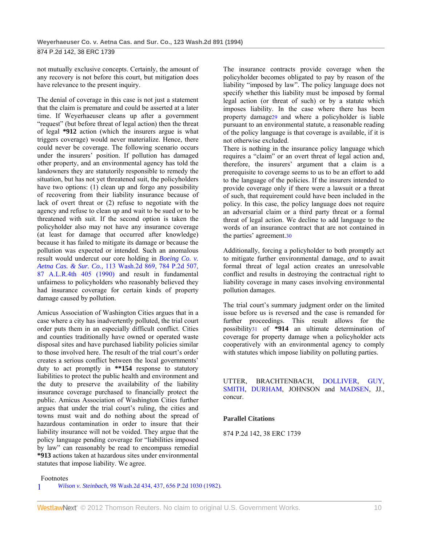not mutually exclusive concepts. Certainly, the amount of any recovery is not before this court, but mitigation does have relevance to the present inquiry.

The denial of coverage in this case is not just a statement that the claim is premature and could be asserted at a later time. If Weyerhaeuser cleans up after a government "request" (but before threat of legal action) then the threat of legal **\*912** action (which the insurers argue is what triggers coverage) would never materialize. Hence, there could never be coverage. The following scenario occurs under the insurers' position. If pollution has damaged other property, and an environmental agency has told the landowners they are statutorily responsible to remedy the situation, but has not yet threatened suit, the policyholders have two options: (1) clean up and forgo any possibility of recovering from their liability insurance because of lack of overt threat or (2) refuse to negotiate with the agency and refuse to clean up and wait to be sued or to be threatened with suit. If the second option is taken the policyholder also may not have any insurance coverage (at least for damage that occurred after knowledge) because it has failed to mitigate its damage or because the pollution was expected or intended. Such an anomalous result would undercut our core holding in *Boeing Co. v. Aetna Cas. & Sur. Co.,* 113 Wash.2d 869, 784 P.2d 507, 87 A.L.R.4th 405 (1990) and result in fundamental unfairness to policyholders who reasonably believed they had insurance coverage for certain kinds of property damage caused by pollution.

Amicus Association of Washington Cities argues that in a case where a city has inadvertently polluted, the trial court order puts them in an especially difficult conflict. Cities and counties traditionally have owned or operated waste disposal sites and have purchased liability policies similar to those involved here. The result of the trial court's order creates a serious conflict between the local governments' duty to act promptly in **\*\*154** response to statutory liabilities to protect the public health and environment and the duty to preserve the availability of the liability insurance coverage purchased to financially protect the public. Amicus Association of Washington Cities further argues that under the trial court's ruling, the cities and towns must wait and do nothing about the spread of hazardous contamination in order to insure that their liability insurance will not be voided. They argue that the policy language pending coverage for "liabilities imposed by law" can reasonably be read to encompass remedial **\*913** actions taken at hazardous sites under environmental statutes that impose liability. We agree.

The insurance contracts provide coverage when the policyholder becomes obligated to pay by reason of the liability "imposed by law". The policy language does not specify whether this liability must be imposed by formal legal action (or threat of such) or by a statute which imposes liability. In the case where there has been property damage29 and where a policyholder is liable pursuant to an environmental statute, a reasonable reading of the policy language is that coverage is available, if it is not otherwise excluded.

There is nothing in the insurance policy language which requires a "claim" or an overt threat of legal action and, therefore, the insurers' argument that a claim is a prerequisite to coverage seems to us to be an effort to add to the language of the policies. If the insurers intended to provide coverage only if there were a lawsuit or a threat of such, that requirement could have been included in the policy. In this case, the policy language does not require an adversarial claim or a third party threat or a formal threat of legal action. We decline to add language to the words of an insurance contract that are not contained in the parties' agreement.30

Additionally, forcing a policyholder to both promptly act to mitigate further environmental damage, *and* to await formal threat of legal action creates an unresolvable conflict and results in destroying the contractual right to liability coverage in many cases involving environmental pollution damages.

The trial court's summary judgment order on the limited issue before us is reversed and the case is remanded for further proceedings. This result allows for the possibility31 of **\*914** an ultimate determination of coverage for property damage when a policyholder acts cooperatively with an environmental agency to comply with statutes which impose liability on polluting parties.

UTTER, BRACHTENBACH, DOLLIVER, GUY, SMITH, DURHAM, JOHNSON and MADSEN, JJ., concur.

### **Parallel Citations**

874 P.2d 142, 38 ERC 1739

Footnotes

1 *Wilson v. Steinbach,* 98 Wash.2d 434, 437, 656 P.2d 1030 (1982).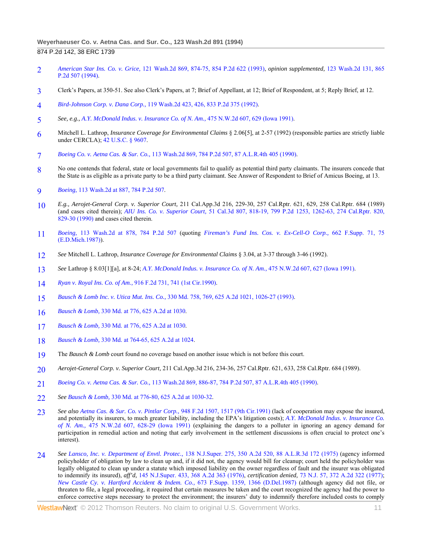- 2 *American Star Ins. Co. v. Grice,* 121 Wash.2d 869, 874-75, 854 P.2d 622 (1993), *opinion supplemented,* 123 Wash.2d 131, 865 P.2d 507 (1994).
- 3 Clerk's Papers, at 350-51. See also Clerk's Papers, at 7; Brief of Appellant, at 12; Brief of Respondent, at 5; Reply Brief, at 12.
- 4 *Bird-Johnson Corp. v. Dana Corp.,* 119 Wash.2d 423, 426, 833 P.2d 375 (1992).
- 5 *See, e.g., A.Y. McDonald Indus. v. Insurance Co. of N. Am.,* 475 N.W.2d 607, 629 (Iowa 1991).
- 6 Mitchell L. Lathrop, *Insurance Coverage for Environmental Claims* § 2.06[5], at 2-57 (1992) (responsible parties are strictly liable under CERCLA); 42 U.S.C. § 9607.
- 7 *Boeing Co. v. Aetna Cas. & Sur. Co.,* 113 Wash.2d 869, 784 P.2d 507, 87 A.L.R.4th 405 (1990).
- 8 No one contends that federal, state or local governments fail to qualify as potential third party claimants. The insurers concede that the State is as eligible as a private party to be a third party claimant. See Answer of Respondent to Brief of Amicus Boeing, at 13.
- 9 *Boeing,* 113 Wash.2d at 887, 784 P.2d 507.
- 10 *E.g., Aerojet-General Corp. v. Superior Court,* 211 Cal.App.3d 216, 229-30, 257 Cal.Rptr. 621, 629, 258 Cal.Rptr. 684 (1989) (and cases cited therein); *AIU Ins. Co. v. Superior Court,* 51 Cal.3d 807, 818-19, 799 P.2d 1253, 1262-63, 274 Cal.Rptr. 820, 829-30 (1990) and cases cited therein.
- 11 *Boeing,* 113 Wash.2d at 878, 784 P.2d 507 (quoting *Fireman's Fund Ins. Cos. v. Ex-Cell-O Corp.,* 662 F.Supp. 71, 75 (E.D.Mich.1987)).
- 12 *See* Mitchell L. Lathrop, *Insurance Coverage for Environmental Claims* § 3.04, at 3-37 through 3-46 (1992).
- 13 *See* Lathrop § 8.03[1][a], at 8-24; *A.Y. McDonald Indus. v. Insurance Co. of N. Am.,* 475 N.W.2d 607, 627 (Iowa 1991).
- 14 *Ryan v. Royal Ins. Co. of Am.,* 916 F.2d 731, 741 (1st Cir.1990).
- 15 *Bausch & Lomb Inc. v. Utica Mut. Ins. Co.,* 330 Md. 758, 769, 625 A.2d 1021, 1026-27 (1993).
- 16 *Bausch & Lomb,* 330 Md. at 776, 625 A.2d at 1030.
- 17 *Bausch & Lomb,* 330 Md. at 776, 625 A.2d at 1030.
- 18 *Bausch & Lomb,* 330 Md. at 764-65, 625 A.2d at 1024.
- 19 The *Bausch & Lomb* court found no coverage based on another issue which is not before this court.
- 20 *Aerojet-General Corp. v. Superior Court,* 211 Cal.App.3d 216, 234-36, 257 Cal.Rptr. 621, 633, 258 Cal.Rptr. 684 (1989).
- 21 *Boeing Co. v. Aetna Cas. & Sur. Co.,* 113 Wash.2d 869, 886-87, 784 P.2d 507, 87 A.L.R.4th 405 (1990).
- 22 *See Bausch & Lomb,* 330 Md. at 776-80, 625 A.2d at 1030-32.
- 23 *See also Aetna Cas. & Sur. Co. v. Pintlar Corp.,* 948 F.2d 1507, 1517 (9th Cir.1991) (lack of cooperation may expose the insured, and potentially its insurers, to much greater liability, including the EPA's litigation costs); *A.Y. McDonald Indus. v. Insurance Co. of N. Am.,* 475 N.W.2d 607, 628-29 (Iowa 1991) (explaining the dangers to a polluter in ignoring an agency demand for participation in remedial action and noting that early involvement in the settlement discussions is often crucial to protect one's interest).
- 24 *See Lansco, Inc. v. Department of Envtl. Protec.,* 138 N.J.Super. 275, 350 A.2d 520, 88 A.L.R.3d 172 (1975) (agency informed policyholder of obligation by law to clean up and, if it did not, the agency would bill for cleanup; court held the policyholder was legally obligated to clean up under a statute which imposed liability on the owner regardless of fault and the insurer was obligated to indemnify its insured), *aff'd,* 145 N.J.Super. 433, 368 A.2d 363 (1976), *certification denied,* 73 N.J. 57, 372 A.2d 322 (1977); *New Castle Cy. v. Hartford Accident & Indem. Co.,* 673 F.Supp. 1359, 1366 (D.Del.1987) (although agency did not file, or threaten to file, a legal proceeding, it required that certain measures be taken and the court recognized the agency had the power to enforce corrective steps necessary to protect the environment; the insurers' duty to indemnify therefore included costs to comply